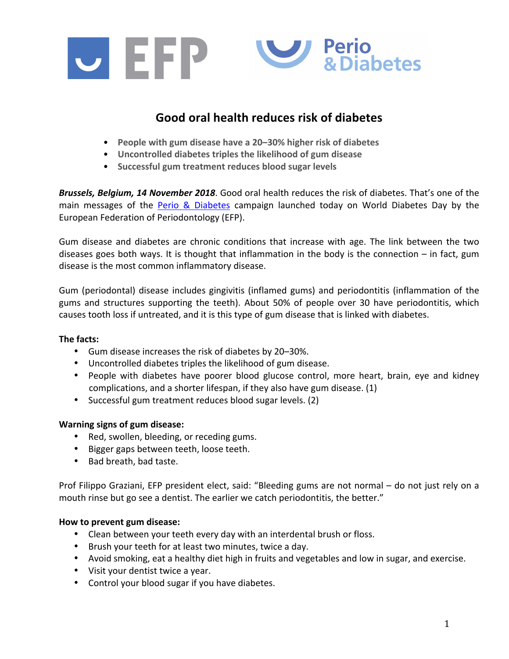

# **Good oral health reduces risk of diabetes**

- People with gum disease have a 20-30% higher risk of diabetes
- **•** Uncontrolled diabetes triples the likelihood of gum disease
- Successful gum treatment reduces blood sugar levels

**Brussels, Belgium, 14 November 2018**. Good oral health reduces the risk of diabetes. That's one of the main messages of the Perio & Diabetes campaign launched today on World Diabetes Day by the European Federation of Periodontology (EFP).

Gum disease and diabetes are chronic conditions that increase with age. The link between the two diseases goes both ways. It is thought that inflammation in the body is the connection – in fact, gum disease is the most common inflammatory disease.

Gum (periodontal) disease includes gingivitis (inflamed gums) and periodontitis (inflammation of the gums and structures supporting the teeth). About 50% of people over 30 have periodontitis, which causes tooth loss if untreated, and it is this type of gum disease that is linked with diabetes.

### **The facts:**

- Gum disease increases the risk of diabetes by 20–30%.
- Uncontrolled diabetes triples the likelihood of gum disease.
- People with diabetes have poorer blood glucose control, more heart, brain, eye and kidney complications, and a shorter lifespan, if they also have gum disease. (1)
- Successful gum treatment reduces blood sugar levels. (2)

### **Warning signs of gum disease:**

- Red, swollen, bleeding, or receding gums.
- Bigger gaps between teeth, loose teeth.
- Bad breath, bad taste.

Prof Filippo Graziani, EFP president elect, said: "Bleeding gums are not normal – do not just rely on a mouth rinse but go see a dentist. The earlier we catch periodontitis, the better."

### How to prevent gum disease:

- Clean between your teeth every day with an interdental brush or floss.
- Brush your teeth for at least two minutes, twice a day.
- Avoid smoking, eat a healthy diet high in fruits and vegetables and low in sugar, and exercise.
- Visit your dentist twice a year.
- Control your blood sugar if you have diabetes.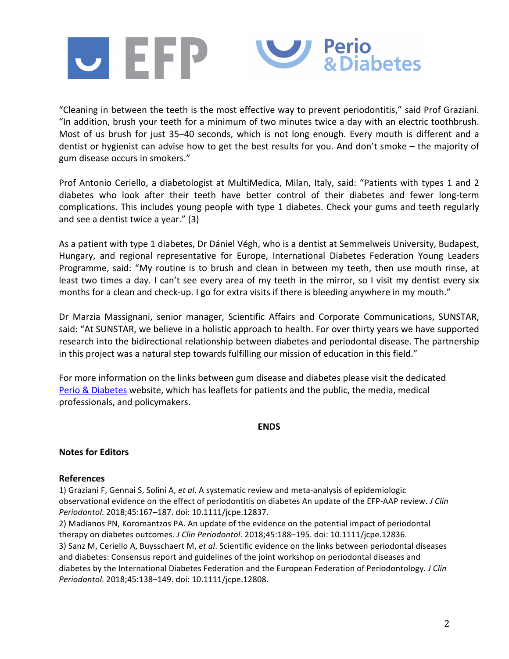

"Cleaning in between the teeth is the most effective way to prevent periodontitis," said Prof Graziani. "In addition, brush your teeth for a minimum of two minutes twice a day with an electric toothbrush. Most of us brush for just 35–40 seconds, which is not long enough. Every mouth is different and a dentist or hygienist can advise how to get the best results for you. And don't smoke – the majority of gum disease occurs in smokers."

Prof Antonio Ceriello, a diabetologist at MultiMedica, Milan, Italy, said: "Patients with types 1 and 2 diabetes who look after their teeth have better control of their diabetes and fewer long-term complications. This includes young people with type 1 diabetes. Check your gums and teeth regularly and see a dentist twice a year."  $(3)$ 

As a patient with type 1 diabetes, Dr Dániel Végh, who is a dentist at Semmelweis University, Budapest, Hungary, and regional representative for Europe, International Diabetes Federation Young Leaders Programme, said: "My routine is to brush and clean in between my teeth, then use mouth rinse, at least two times a day. I can't see every area of my teeth in the mirror, so I visit my dentist every six months for a clean and check-up. I go for extra visits if there is bleeding anywhere in my mouth."

Dr Marzia Massignani, senior manager, Scientific Affairs and Corporate Communications, SUNSTAR, said: "At SUNSTAR, we believe in a holistic approach to health. For over thirty years we have supported research into the bidirectional relationship between diabetes and periodontal disease. The partnership in this project was a natural step towards fulfilling our mission of education in this field."

For more information on the links between gum disease and diabetes please visit the dedicated Perio & Diabetes website, which has leaflets for patients and the public, the media, medical professionals, and policymakers.

#### **ENDS**

#### **Notes for Editors**

#### **References**

1) Graziani F, Gennai S, Solini A, et al. A systematic review and meta-analysis of epidemiologic observational evidence on the effect of periodontitis on diabetes An update of the EFP-AAP review. *J Clin Periodontol*. 2018;45:167–187. doi: 10.1111/jcpe.12837.

2) Madianos PN, Koromantzos PA. An update of the evidence on the potential impact of periodontal therapy on diabetes outcomes. *J Clin Periodontol*. 2018;45:188-195. doi: 10.1111/jcpe.12836. 3) Sanz M, Ceriello A, Buysschaert M, *et al*. Scientific evidence on the links between periodontal diseases and diabetes: Consensus report and guidelines of the joint workshop on periodontal diseases and diabetes by the International Diabetes Federation and the European Federation of Periodontology. *J Clin Periodontol*. 2018;45:138–149. doi: 10.1111/jcpe.12808.